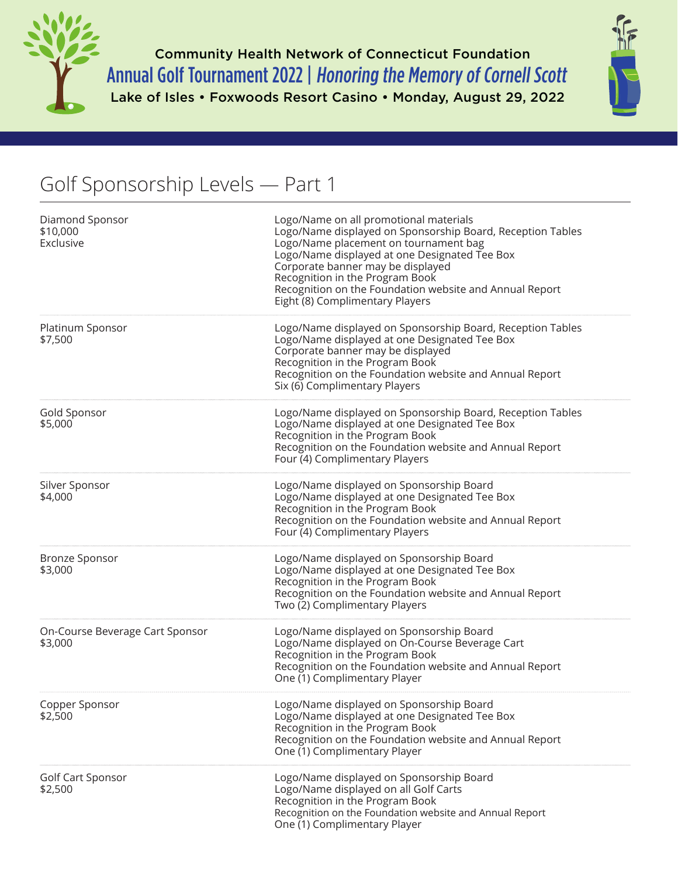



## Golf Sponsorship Levels — Part 1

| Diamond Sponsor<br>\$10,000<br>Exclusive   | Logo/Name on all promotional materials<br>Logo/Name displayed on Sponsorship Board, Reception Tables<br>Logo/Name placement on tournament bag<br>Logo/Name displayed at one Designated Tee Box<br>Corporate banner may be displayed<br>Recognition in the Program Book<br>Recognition on the Foundation website and Annual Report<br>Eight (8) Complimentary Players |
|--------------------------------------------|----------------------------------------------------------------------------------------------------------------------------------------------------------------------------------------------------------------------------------------------------------------------------------------------------------------------------------------------------------------------|
| Platinum Sponsor<br>\$7,500                | Logo/Name displayed on Sponsorship Board, Reception Tables<br>Logo/Name displayed at one Designated Tee Box<br>Corporate banner may be displayed<br>Recognition in the Program Book<br>Recognition on the Foundation website and Annual Report<br>Six (6) Complimentary Players                                                                                      |
| Gold Sponsor<br>\$5,000                    | Logo/Name displayed on Sponsorship Board, Reception Tables<br>Logo/Name displayed at one Designated Tee Box<br>Recognition in the Program Book<br>Recognition on the Foundation website and Annual Report<br>Four (4) Complimentary Players                                                                                                                          |
| Silver Sponsor<br>\$4,000                  | Logo/Name displayed on Sponsorship Board<br>Logo/Name displayed at one Designated Tee Box<br>Recognition in the Program Book<br>Recognition on the Foundation website and Annual Report<br>Four (4) Complimentary Players                                                                                                                                            |
| <b>Bronze Sponsor</b><br>\$3,000           | Logo/Name displayed on Sponsorship Board<br>Logo/Name displayed at one Designated Tee Box<br>Recognition in the Program Book<br>Recognition on the Foundation website and Annual Report<br>Two (2) Complimentary Players                                                                                                                                             |
| On-Course Beverage Cart Sponsor<br>\$3,000 | Logo/Name displayed on Sponsorship Board<br>Logo/Name displayed on On-Course Beverage Cart<br>Recognition in the Program Book<br>Recognition on the Foundation website and Annual Report<br>One (1) Complimentary Player                                                                                                                                             |
| Copper Sponsor<br>\$2,500                  | Logo/Name displayed on Sponsorship Board<br>Logo/Name displayed at one Designated Tee Box<br>Recognition in the Program Book<br>Recognition on the Foundation website and Annual Report<br>One (1) Complimentary Player                                                                                                                                              |
| Golf Cart Sponsor<br>\$2,500               | Logo/Name displayed on Sponsorship Board<br>Logo/Name displayed on all Golf Carts<br>Recognition in the Program Book<br>Recognition on the Foundation website and Annual Report<br>One (1) Complimentary Player                                                                                                                                                      |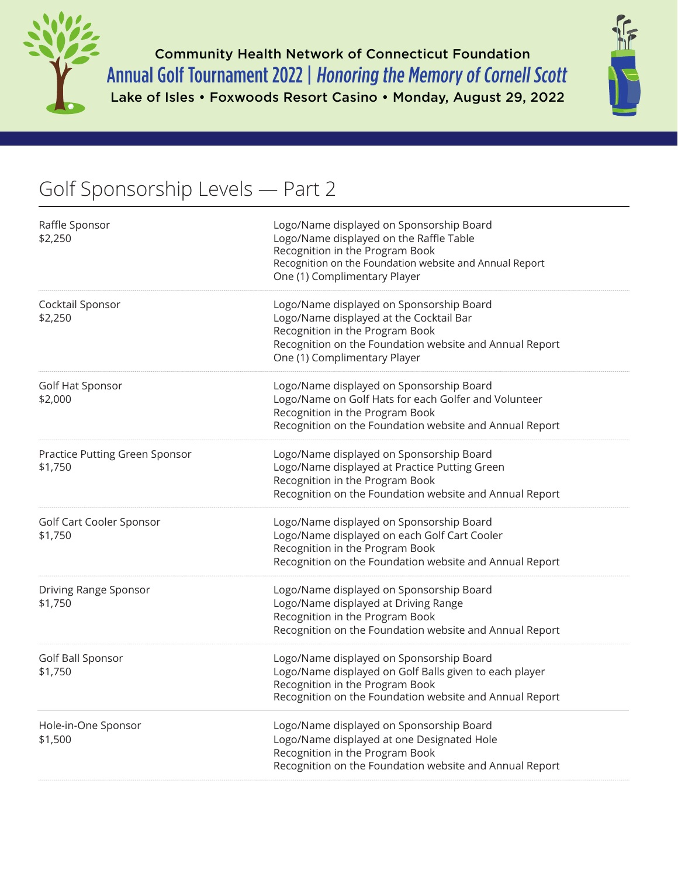



## Golf Sponsorship Levels — Part 2

| Raffle Sponsor<br>\$2,250                 | Logo/Name displayed on Sponsorship Board<br>Logo/Name displayed on the Raffle Table<br>Recognition in the Program Book<br>Recognition on the Foundation website and Annual Report<br>One (1) Complimentary Player |
|-------------------------------------------|-------------------------------------------------------------------------------------------------------------------------------------------------------------------------------------------------------------------|
| Cocktail Sponsor<br>\$2,250               | Logo/Name displayed on Sponsorship Board<br>Logo/Name displayed at the Cocktail Bar<br>Recognition in the Program Book<br>Recognition on the Foundation website and Annual Report<br>One (1) Complimentary Player |
| Golf Hat Sponsor<br>\$2,000               | Logo/Name displayed on Sponsorship Board<br>Logo/Name on Golf Hats for each Golfer and Volunteer<br>Recognition in the Program Book<br>Recognition on the Foundation website and Annual Report                    |
| Practice Putting Green Sponsor<br>\$1,750 | Logo/Name displayed on Sponsorship Board<br>Logo/Name displayed at Practice Putting Green<br>Recognition in the Program Book<br>Recognition on the Foundation website and Annual Report                           |
| Golf Cart Cooler Sponsor<br>\$1,750       | Logo/Name displayed on Sponsorship Board<br>Logo/Name displayed on each Golf Cart Cooler<br>Recognition in the Program Book<br>Recognition on the Foundation website and Annual Report                            |
| Driving Range Sponsor<br>\$1,750          | Logo/Name displayed on Sponsorship Board<br>Logo/Name displayed at Driving Range<br>Recognition in the Program Book<br>Recognition on the Foundation website and Annual Report                                    |
| Golf Ball Sponsor<br>\$1,750              | Logo/Name displayed on Sponsorship Board<br>Logo/Name displayed on Golf Balls given to each player<br>Recognition in the Program Book<br>Recognition on the Foundation website and Annual Report                  |
| Hole-in-One Sponsor<br>\$1,500            | Logo/Name displayed on Sponsorship Board<br>Logo/Name displayed at one Designated Hole<br>Recognition in the Program Book<br>Recognition on the Foundation website and Annual Report                              |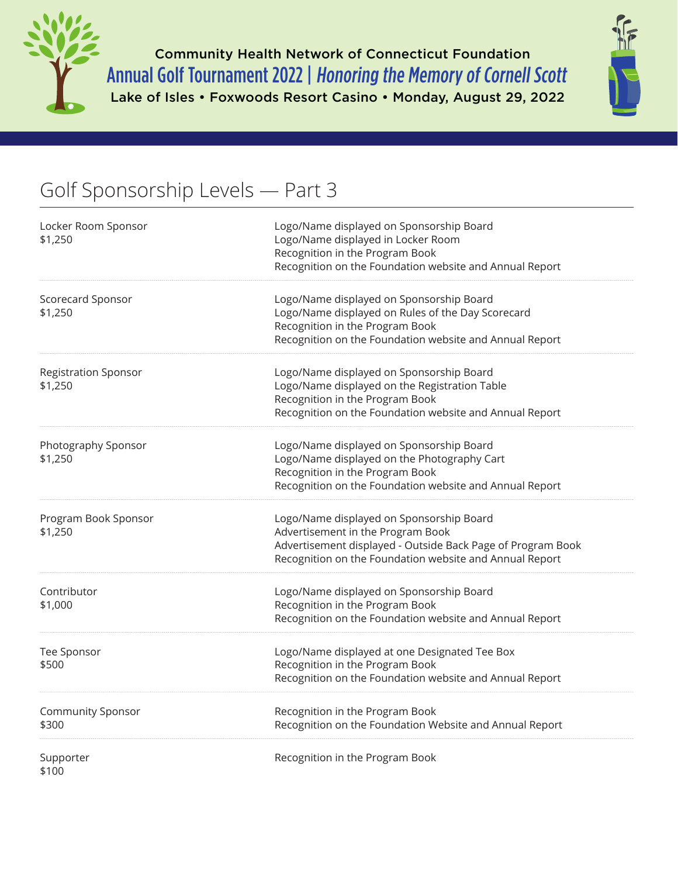



## Golf Sponsorship Levels — Part 3

| Locker Room Sponsor<br>\$1,250         | Logo/Name displayed on Sponsorship Board<br>Logo/Name displayed in Locker Room<br>Recognition in the Program Book<br>Recognition on the Foundation website and Annual Report                            |
|----------------------------------------|---------------------------------------------------------------------------------------------------------------------------------------------------------------------------------------------------------|
| Scorecard Sponsor<br>\$1,250           | Logo/Name displayed on Sponsorship Board<br>Logo/Name displayed on Rules of the Day Scorecard<br>Recognition in the Program Book<br>Recognition on the Foundation website and Annual Report             |
| <b>Registration Sponsor</b><br>\$1,250 | Logo/Name displayed on Sponsorship Board<br>Logo/Name displayed on the Registration Table<br>Recognition in the Program Book<br>Recognition on the Foundation website and Annual Report                 |
| Photography Sponsor<br>\$1,250         | Logo/Name displayed on Sponsorship Board<br>Logo/Name displayed on the Photography Cart<br>Recognition in the Program Book<br>Recognition on the Foundation website and Annual Report                   |
| Program Book Sponsor<br>\$1,250        | Logo/Name displayed on Sponsorship Board<br>Advertisement in the Program Book<br>Advertisement displayed - Outside Back Page of Program Book<br>Recognition on the Foundation website and Annual Report |
| Contributor<br>\$1,000                 | Logo/Name displayed on Sponsorship Board<br>Recognition in the Program Book<br>Recognition on the Foundation website and Annual Report                                                                  |
| Tee Sponsor<br>\$500                   | Logo/Name displayed at one Designated Tee Box<br>Recognition in the Program Book<br>Recognition on the Foundation website and Annual Report                                                             |
| <b>Community Sponsor</b><br>\$300      | Recognition in the Program Book<br>Recognition on the Foundation Website and Annual Report                                                                                                              |
| Supporter<br>\$100                     | Recognition in the Program Book                                                                                                                                                                         |